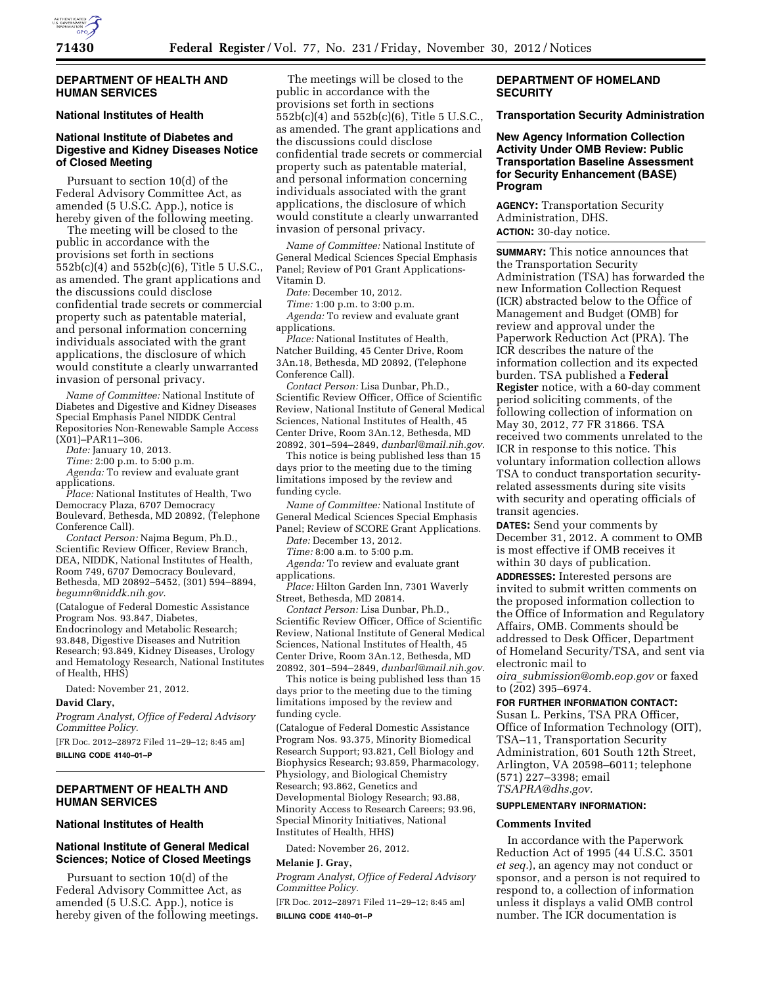

### **DEPARTMENT OF HEALTH AND HUMAN SERVICES**

# **National Institutes of Health**

# **National Institute of Diabetes and Digestive and Kidney Diseases Notice of Closed Meeting**

Pursuant to section 10(d) of the Federal Advisory Committee Act, as amended (5 U.S.C. App.), notice is hereby given of the following meeting.

The meeting will be closed to the public in accordance with the provisions set forth in sections 552b(c)(4) and 552b(c)(6), Title 5 U.S.C., as amended. The grant applications and the discussions could disclose confidential trade secrets or commercial property such as patentable material, and personal information concerning individuals associated with the grant applications, the disclosure of which would constitute a clearly unwarranted invasion of personal privacy.

*Name of Committee:* National Institute of Diabetes and Digestive and Kidney Diseases Special Emphasis Panel NIDDK Central Repositories Non-Renewable Sample Access (X01)–PAR11–306.

*Date:* January 10, 2013.

*Time:* 2:00 p.m. to 5:00 p.m.

*Agenda:* To review and evaluate grant applications.

*Place:* National Institutes of Health, Two Democracy Plaza, 6707 Democracy Boulevard, Bethesda, MD 20892, (Telephone Conference Call).

*Contact Person:* Najma Begum, Ph.D., Scientific Review Officer, Review Branch, DEA, NIDDK, National Institutes of Health, Room 749, 6707 Democracy Boulevard, Bethesda, MD 20892–5452, (301) 594–8894, *[begumn@niddk.nih.gov](mailto:begumn@niddk.nih.gov)*.

(Catalogue of Federal Domestic Assistance Program Nos. 93.847, Diabetes, Endocrinology and Metabolic Research; 93.848, Digestive Diseases and Nutrition Research; 93.849, Kidney Diseases, Urology and Hematology Research, National Institutes of Health, HHS)

Dated: November 21, 2012.

### **David Clary,**

*Program Analyst, Office of Federal Advisory Committee Policy.* 

[FR Doc. 2012–28972 Filed 11–29–12; 8:45 am] **BILLING CODE 4140–01–P** 

### **DEPARTMENT OF HEALTH AND HUMAN SERVICES**

# **National Institutes of Health**

# **National Institute of General Medical Sciences; Notice of Closed Meetings**

Pursuant to section 10(d) of the Federal Advisory Committee Act, as amended (5 U.S.C. App.), notice is hereby given of the following meetings.

The meetings will be closed to the public in accordance with the provisions set forth in sections 552b(c)(4) and 552b(c)(6), Title 5 U.S.C., as amended. The grant applications and the discussions could disclose confidential trade secrets or commercial property such as patentable material, and personal information concerning individuals associated with the grant applications, the disclosure of which would constitute a clearly unwarranted invasion of personal privacy.

*Name of Committee:* National Institute of General Medical Sciences Special Emphasis Panel; Review of P01 Grant Applications-Vitamin D.

*Date:* December 10, 2012.

*Time:* 1:00 p.m. to 3:00 p.m. *Agenda:* To review and evaluate grant applications.

*Place:* National Institutes of Health, Natcher Building, 45 Center Drive, Room 3An.18, Bethesda, MD 20892, (Telephone Conference Call).

*Contact Person:* Lisa Dunbar, Ph.D., Scientific Review Officer, Office of Scientific Review, National Institute of General Medical Sciences, National Institutes of Health, 45 Center Drive, Room 3An.12, Bethesda, MD 20892, 301–594–2849, *[dunbarl@mail.nih.gov](mailto:dunbarl@mail.nih.gov)*.

This notice is being published less than 15 days prior to the meeting due to the timing limitations imposed by the review and funding cycle.

*Name of Committee:* National Institute of General Medical Sciences Special Emphasis Panel; Review of SCORE Grant Applications.

*Date:* December 13, 2012.

*Time:* 8:00 a.m. to 5:00 p.m.

*Agenda:* To review and evaluate grant applications.

*Place:* Hilton Garden Inn, 7301 Waverly Street, Bethesda, MD 20814.

*Contact Person:* Lisa Dunbar, Ph.D., Scientific Review Officer, Office of Scientific Review, National Institute of General Medical Sciences, National Institutes of Health, 45 Center Drive, Room 3An.12, Bethesda, MD 20892, 301–594–2849, *[dunbarl@mail.nih.gov](mailto:dunbarl@mail.nih.gov)*.

This notice is being published less than 15 days prior to the meeting due to the timing limitations imposed by the review and funding cycle.

(Catalogue of Federal Domestic Assistance Program Nos. 93.375, Minority Biomedical Research Support; 93.821, Cell Biology and Biophysics Research; 93.859, Pharmacology, Physiology, and Biological Chemistry Research; 93.862, Genetics and Developmental Biology Research; 93.88, Minority Access to Research Careers; 93.96, Special Minority Initiatives, National Institutes of Health, HHS)

Dated: November 26, 2012.

#### **Melanie J. Gray,**

*Program Analyst, Office of Federal Advisory Committee Policy.* 

[FR Doc. 2012–28971 Filed 11–29–12; 8:45 am] **BILLING CODE 4140–01–P** 

# **DEPARTMENT OF HOMELAND SECURITY**

### **Transportation Security Administration**

**New Agency Information Collection Activity Under OMB Review: Public Transportation Baseline Assessment for Security Enhancement (BASE) Program** 

**AGENCY:** Transportation Security Administration, DHS. **ACTION:** 30-day notice.

**SUMMARY:** This notice announces that the Transportation Security Administration (TSA) has forwarded the new Information Collection Request (ICR) abstracted below to the Office of Management and Budget (OMB) for review and approval under the Paperwork Reduction Act (PRA). The ICR describes the nature of the information collection and its expected burden. TSA published a **Federal Register** notice, with a 60-day comment period soliciting comments, of the following collection of information on May 30, 2012, 77 FR 31866. TSA received two comments unrelated to the ICR in response to this notice. This voluntary information collection allows TSA to conduct transportation securityrelated assessments during site visits with security and operating officials of transit agencies.

**DATES:** Send your comments by December 31, 2012. A comment to OMB is most effective if OMB receives it within 30 days of publication.

**ADDRESSES:** Interested persons are invited to submit written comments on the proposed information collection to the Office of Information and Regulatory Affairs, OMB. Comments should be addressed to Desk Officer, Department of Homeland Security/TSA, and sent via electronic mail to

*oira*\_*[submission@omb.eop.gov](mailto:oira_submission@omb.eop.gov)* or faxed to (202) 395–6974.

### **FOR FURTHER INFORMATION CONTACT:**

Susan L. Perkins, TSA PRA Officer, Office of Information Technology (OIT), TSA–11, Transportation Security Administration, 601 South 12th Street, Arlington, VA 20598–6011; telephone (571) 227–3398; email *[TSAPRA@dhs.gov.](mailto:TSAPRA@dhs.gov)* 

#### **SUPPLEMENTARY INFORMATION:**

#### **Comments Invited**

In accordance with the Paperwork Reduction Act of 1995 (44 U.S.C. 3501 *et seq.*), an agency may not conduct or sponsor, and a person is not required to respond to, a collection of information unless it displays a valid OMB control number. The ICR documentation is